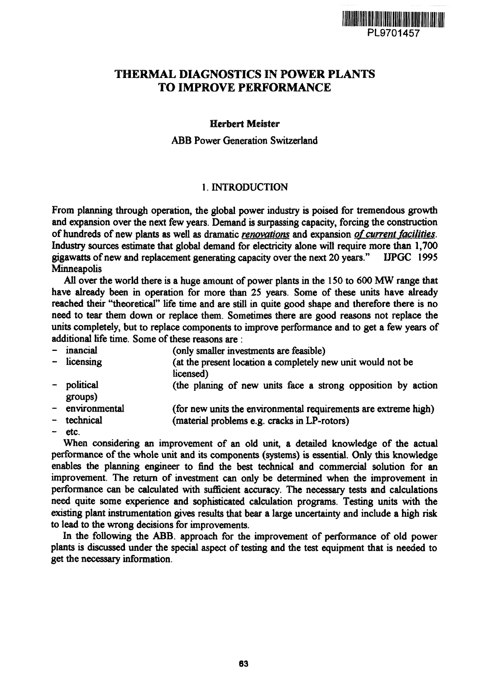

# THERMAL DIAGNOSTICS IN POWER PLANTS TO IMPROVE PERFORMANCE

### Herbert Meister

ABB Power Generation Switzerland

### 1. INTRODUCTION

From planning through operation, the global power industry is poised for tremendous growth and expansion over the next few years. Demand is surpassing capacity, forcing the construction of hundreds of new plants as well as dramatic *renovations* and expansion of current facilities. Industry sources estimate that global demand for electricity alone will require more than 1,700 gigawatts of new and replacement generating capacity over the next 20 years." UPGC 1995 **Minneapolis** 

All over the world there is a huge amount of power plants in the 150 to 600 MW range that have already been in operation for more than 25 years. Some of these units have already reached their "theoretical" life time and are still in quite good shape and therefore there is no need to tear them down or replace them. Sometimes there are good reasons not replace the units completely, but to replace components to improve performance and to get a few years of additional life time. Some of these reasons are :

- inancial (only smaller investments are feasible)<br>- licensing (at the present location a completely no
- (at the present location a completely new unit would not be licensed)
- political (the planing of new units face a strong opposition by action groups)
- environmental (for new units the environmental requirements are extreme high)
- technical (material problems e.g. cracks in LP-rotors)
- etc.

When considering an improvement of an old unit, a detailed knowledge of the actual performance of the whole unit and its components (systems) is essential. Only this knowledge enables the planning engineer to find the best technical and commercial solution for an improvement. The return of investment can only be determined when the improvement in performance can be calculated with sufficient accuracy. The necessary tests and calculations need quite some experience and sophisticated calculation programs. Testing units with the existing plant instrumentation gives results that bear a large uncertainty and include a high risk to lead to the wrong decisions for improvements.

In the following the ABB. approach for the improvement of performance of old power plants is discussed under the special aspect of testing and the test equipment that is needed to get the necessary information.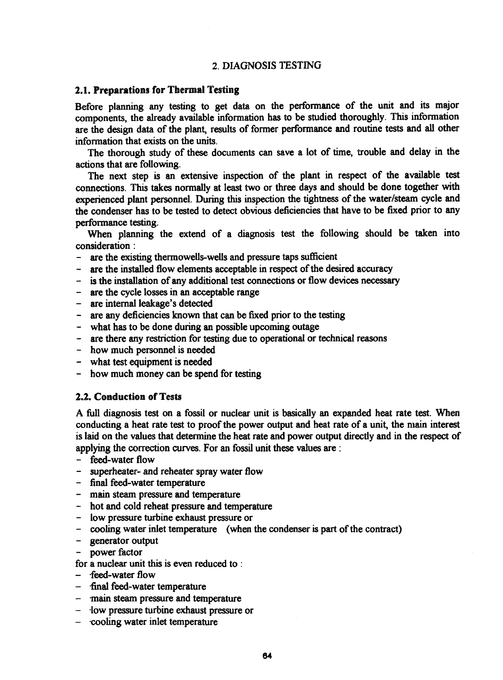### 2. DIAGNOSIS TESTING

#### 2.1. **Preparations for** Thermal Testing

Before planning any testing to get data on the performance of the unit and its major components, the already available information has to be studied thoroughly. This information are the design data of the plant, results of former performance and routine tests and all other information that exists on the units.

The thorough study of these documents can save a lot of time, trouble and delay in the actions that are following.

The next step is an extensive inspection of the plant in respect of the available test connections. This takes normally at least two or three days and should be done together with experienced plant personnel. During this inspection the tightness of the water/steam cycle and the condenser has to be tested to detect obvious deficiencies that have to be fixed prior to any performance testing.

When planning the extend of a diagnosis test the following should be taken into consideration:

- are the existing thermowells-wells and pressure taps sufficient
- are the installed flow elements acceptable in respect of the desired accuracy
- is the installation of any additional test connections or flow devices necessary
- are the cycle losses in an acceptable range
- are internal leakage's detected
- are any deficiencies known that can be fixed prior to the testing
- what has to be done during an possible upcoming outage
- are there any restriction for testing due to operational or technical reasons
- how much personnel is needed
- what test equipment is needed
- how much money can be spend for testing

#### 2.2. Conduction of Tests

A full diagnosis test on a fossil or nuclear unit is basically an expanded heat rate test. When conducting a heat rate test to proof the power output and heat rate of a unit, the main interest is laid on the values that determine the heat rate and power output directly and in the respect of applying the correction curves. For an fossil unit these values are:

- feed-water flow
- superheater- and reheater spray water flow
- final feed-water temperature
- main steam pressure and temperature
- hot and cold reheat pressure and temperature
- low pressure turbine exhaust pressure or
- cooling water inlet temperature (when the condenser is part of the contract)
- generator output
- power factor
- for a nuclear unit this is even reduced to :
- feed-water flow
- final feed-water temperature
- main steam pressure and temperature
- low pressure turbine exhaust pressure or
- cooling water inlet temperature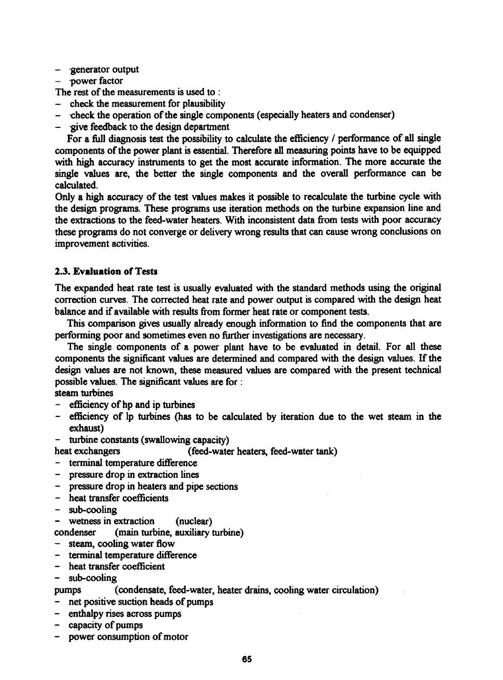- generator output
- power factor

The rest of the measurements is used to :

- check the measurement for plausibility
- check the operation of the single components (especially heaters and condenser)
- $\alpha$  -give feedback to the design department

For a full diagnosis test the possibility to calculate the efficiency / performance of all single components of the power plant is essential. Therefore all measuring points have to be equipped with high accuracy instruments to get the most accurate information. The more accurate the single values are, the better the single components and the overall performance can be calculated.

Only a high accuracy of the test values makes it possible to recalculate the turbine cycle with the design programs. These programs use iteration methods on the turbine expansion line and the extractions to the feed-water heaters. With inconsistent data from tests with poor accuracy these programs do not converge or delivery wrong results that can cause wrong conclusions on improvement activities.

### **2.3. Evaluation of** Tests

The expanded heat rate test is usually evaluated with the standard methods using the original correction curves. The corrected heat rate and power output is compared with the design heat balance and if available with results from former heat rate or component tests.

This comparison gives usually already enough information to find the components that are performing poor and sometimes even no further investigations are necessary.

The single components of a power plant have to be evaluated in detail. For all these components the significant values are determined and compared with the design values. If the design values are not known, these measured values are compared with the present technical possible values. The significant values are for :

steam turbines

- efficiency of hp and ip turbines
- efficiency of lp turbines (has to be calculated by iteration due to the wet steam in the exhaust)
- turbine constants (swallowing capacity)
- heat exchangers (feed-water heaters, feed-water tank)
- terminal temperature difference
- pressure drop in extraction lines
- pressure drop in heaters and pipe sections
- heat transfer coefficients
- sub-cooling
- wetness in extraction (nuclear)

condenser (main turbine, auxiliary turbine)

- steam, cooling water flow
- terminal temperature difference
- heat transfer coefficient

- sub-cooling

#### pumps (condensate, feed-water, heater drains, cooling water circulation)

- net positive suction heads of pumps
- enthalpy rises across pumps
- capacity of pumps
- power consumption of motor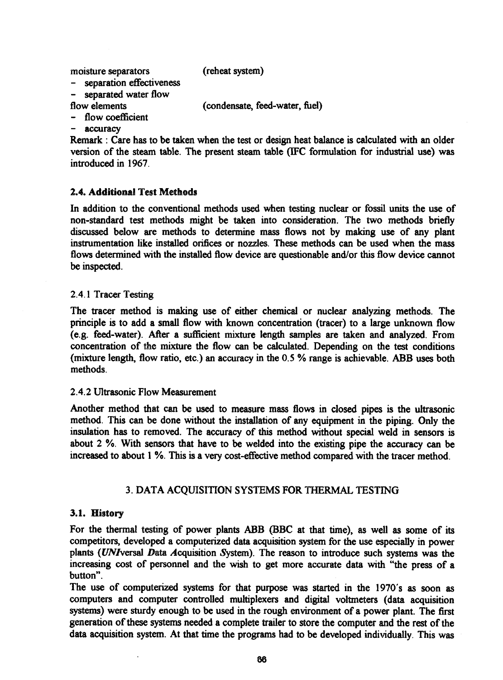moisture separators (reheat system)

- separation effectiveness

- separated water flow<br>flow elements

(condensate, feed-water, fuel)

- flow coefficient
- accuracy

Remark : Care has to be taken when the test or design heat balance is calculated with an older version of the steam table. The present steam table (IFC formulation for industrial use) was introduced in 1967.

# 2.4. Additions! Test Methods

In addition to the conventional methods used when testing nuclear or fossil units the use of non-standard test methods might be taken into consideration. The two methods briefly discussed below are methods to determine mass flows not by making use of any plant instrumentation like installed orifices or nozzles. These methods can be used when the mass flows determined with the installed flow device are questionable and/or this flow device cannot be inspected.

# 2.4.1 Tracer Testing

The tracer method is making use of either chemical or nuclear analyzing methods. The principle is to add a small flow with known concentration (tracer) to a large unknown flow (e.g. feed-water). After a sufficient mixture length samples are taken and analyzed. From concentration of the mixture the flow can be calculated. Depending on the test conditions (mixture length, flow ratio, etc.) an accuracy in the 0.5 % range is achievable. ABB uses both methods.

# 2.4.2 Ultrasonic Flow Measurement

Another method that can be used to measure mass flows in closed pipes is the ultrasonic method. This can be done without the installation of any equipment in the piping. Only the insulation has to removed. The accuracy of this method without special weld in sensors is about 2 %. With sensors that have to be welded into the existing pipe the accuracy can be increased to about 1 *%.* This is a very cost-effective method compared with the tracer method.

# 3. DATA ACQUISITION SYSTEMS FOR THERMAL TESTING

# 3.1. History

For the thermal testing of power plants ABB (BBC at that time), as well as some of its competitors, developed a computerized data acquisition system for the use especially in power plants (UNIversal Data Acquisition System). The reason to introduce such systems was the increasing cost of personnel and the wish to get more accurate data with "the press of a button".

The use of computerized systems for that purpose was started in the 1970's as soon as computers and computer controlled multiplexers and digital voltmeters (data acquisition systems) were sturdy enough to be used in the rough environment of a power plant. The first generation of these systems needed a complete trailer to store the computer and the rest of the data acquisition system. At that time the programs had to be developed individually. This was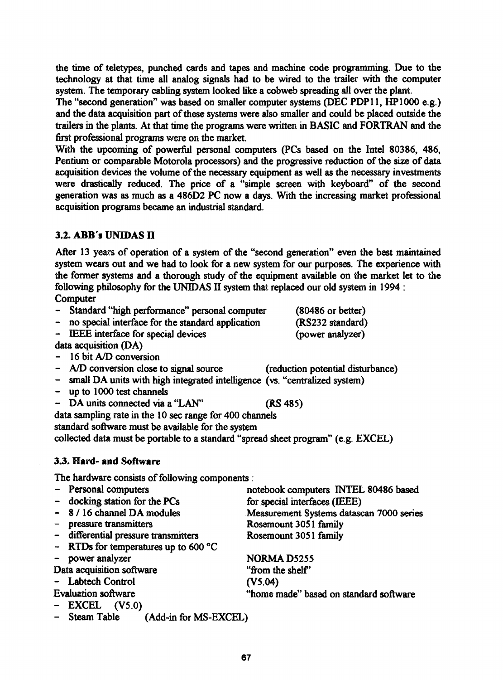**67**

the time of teletypes, punched cards and tapes and machine code programming. Due to the technology at that time all analog signals had to be wired to the trailer with the computer system. The temporary cabling system looked like a cobweb spreading all over the plant.

The "second generation" was based on smaller computer systems (DEC PDP11, HP 1000 e.g.) and the data acquisition part of these systems were also smaller and could be placed outside the trailers in the plants. At that time the programs were written in BASIC and FORTRAN and the first professional programs were on the market.

With the upcoming of powerful personal computers (PCs based on the Intel 80386, 486, Pentium or comparable Motorola processors) and the progressive reduction of the size of data acquisition devices the volume of the necessary equipment as well as the necessary investments were drastically reduced. The price of a "simple screen with keyboard" of the second generation was as much as a 486D2 PC now a days. With the increasing market professional acquisition programs became an industrial standard.

# **3.2. ABB's** UN1DAS H

After 13 years of operation of a system of the "second generation" even the best maintained system wears out and we had to look for a new system for our purposes. The experience with the former systems and a thorough study of the equipment available on the market let to the following philosophy for the UNIDAS II system that replaced our old system in 1994 : **Computer** 

- Standard "high performance" personal computer (80486 or better)
- no special interface for the standard application (RS232 standard)
- IEEE interface for special devices (power analyzer)

data acquisition (DA)

- 16 bit A/D conversion
- A/D conversion close to signal source (reduction potential disturbance)
- small DA units with high integrated intelligence (vs. "centralized system)
- up to 1000 test channels
- DA units connected via a "LAN" (RS 485)

data sampling rate in the 10 sec range for 400 channels

standard software must be available for the system

collected data must be portable to a standard "spread sheet program" (e.g. EXCEL)

# 3.3. Hard- and Software

The hardware consists of following components :

Steam Table (Add-in for MS-EXCEL)

- Personal computers notebook computers INTEL 80486 based - docking station for the PCs<br>
- 8 / 16 channel DA modules Measurement Systems datase - 8 / 16 channel DA modules Measurement Systems datascan 7000 series<br>- pressure transmitters Rosemount 3051 family Rosemount 3051 family - differential pressure transmitters Rosemount 3051 family - RTDs for temperatures up to 600 °C power analyzer NORMA D5255 Data acquisition software ""from the shelf" - Labtech Control (V5.04) Evaluation software "home made" based on standard software - EXCEL (V5.0)

- 
-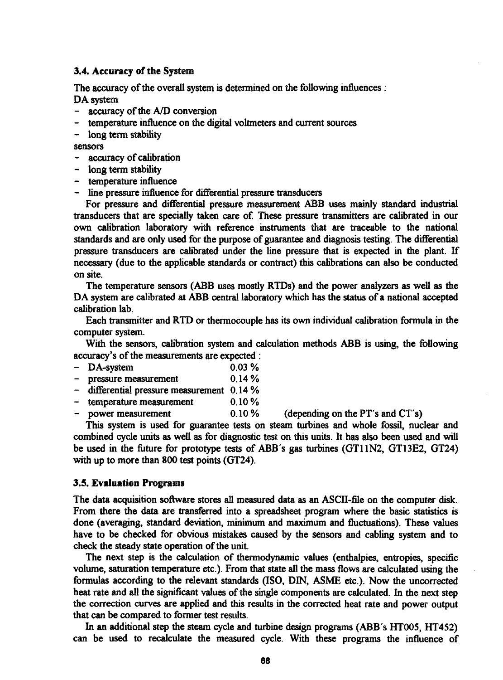#### 3.4. **Accuracy** of **the** System

The accuracy of the overall system is determined on the following influences : DA system

- accuracy of the A/D conversion
- temperature influence on the digital voltmeters and current sources
- long term stability

sensors

- accuracy of calibration
- long term stability
- temperature influence
- line pressure influence for differential pressure transducers

For pressure and differential pressure measurement ABB uses mainly standard industrial transducers that are specially taken care of. These pressure transmitters are calibrated in our own calibration laboratory with reference instruments that are traceable to the national standards and are only used for the purpose of guarantee and diagnosis testing. The differential pressure transducers are calibrated under the line pressure that is expected in the plant. If necessary (due to the applicable standards or contract) this calibrations can also be conducted on site.

The temperature sensors (ABB uses mostly RTDs) and the power analyzers as well as the DA system are calibrated at **ABB** central laboratory which has the status of a national accepted calibration lab.

Each transmitter and RTD or thermocouple has its own individual calibration formula in the computer system.

With the sensors, calibration system and calculation methods ABB is using, the following accuracy's of the measurements are expected :

- $-$  DA-system 0.03 %
- pressure measurement 0.14 %
- differential pressure measurement 0.14 %
- temperature measurement 0.10 %
- power measurement 0.10% (depending on the PT's and CT's)

This system is used for guarantee tests on steam turbines and whole fossil, nuclear and combined cycle units as well as for diagnostic test on this units. It has also been used and will be used in the future for prototype tests of **ABB's** gas turbines (GT11N2, GT13E2, GT24) with up to more than 800 test points (GT24).

#### **3.5. Evaluation** Programs

The data acquisition software stores all measured data as an ASCII-file on the computer disk. From there the data are transferred into a spreadsheet program where the basic statistics is done (averaging, standard deviation, minimum and maximum and fluctuations). These values have to be checked for obvious mistakes caused by the sensors and cabling system and to check the steady state operation of the unit.

The next step is the calculation of thermodynamic values (enthalpies, entropies, specific volume, saturation temperature etc.). From that state all the mass flows are calculated using the formulas according to the relevant standards (ISO, DIN, ASME etc.). Now the uncorrected heat rate and all the significant values of the single components are calculated. In the next step the correction curves are applied and this results in the corrected heat rate and power output that can be compared to former test results.

In an additional step the steam cycle and turbine design programs (ABB's HT005, HT452) can be used to recalculate the measured cycle. With these programs the influence of